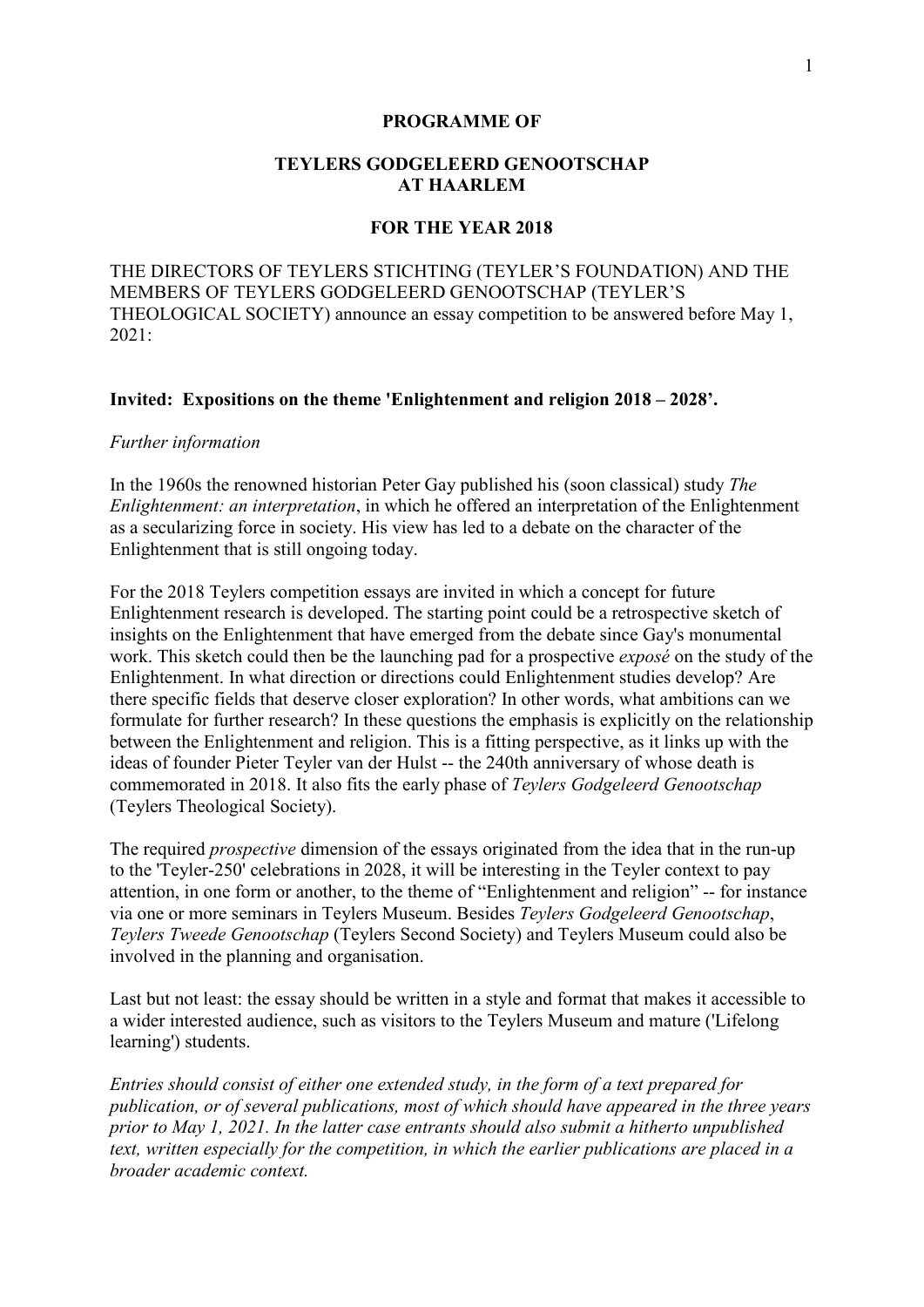#### **PROGRAMME OF**

# **TEYLERS GODGELEERD GENOOTSCHAP AT HAARLEM**

### **FOR THE YEAR 2018**

THE DIRECTORS OF TEYLERS STICHTING (TEYLER'S FOUNDATION) AND THE MEMBERS OF TEYLERS GODGELEERD GENOOTSCHAP (TEYLER'S THEOLOGICAL SOCIETY) announce an essay competition to be answered before May 1,  $2021$ 

## **Invited: Expositions on the theme 'Enlightenment and religion 2018 – 2028'.**

#### *Further information*

In the 1960s the renowned historian Peter Gay published his (soon classical) study *The Enlightenment: an interpretation*, in which he offered an interpretation of the Enlightenment as a secularizing force in society. His view has led to a debate on the character of the Enlightenment that is still ongoing today.

For the 2018 Teylers competition essays are invited in which a concept for future Enlightenment research is developed. The starting point could be a retrospective sketch of insights on the Enlightenment that have emerged from the debate since Gay's monumental work. This sketch could then be the launching pad for a prospective *exposé* on the study of the Enlightenment. In what direction or directions could Enlightenment studies develop? Are there specific fields that deserve closer exploration? In other words, what ambitions can we formulate for further research? In these questions the emphasis is explicitly on the relationship between the Enlightenment and religion. This is a fitting perspective, as it links up with the ideas of founder Pieter Teyler van der Hulst -- the 240th anniversary of whose death is commemorated in 2018. It also fits the early phase of *Teylers Godgeleerd Genootschap* (Teylers Theological Society).

The required *prospective* dimension of the essays originated from the idea that in the run-up to the 'Teyler-250' celebrations in 2028, it will be interesting in the Teyler context to pay attention, in one form or another, to the theme of "Enlightenment and religion" -- for instance via one or more seminars in Teylers Museum. Besides *Teylers Godgeleerd Genootschap*, *Teylers Tweede Genootschap* (Teylers Second Society) and Teylers Museum could also be involved in the planning and organisation.

Last but not least: the essay should be written in a style and format that makes it accessible to a wider interested audience, such as visitors to the Teylers Museum and mature ('Lifelong learning') students.

*Entries should consist of either one extended study, in the form of a text prepared for publication, or of several publications, most of which should have appeared in the three years prior to May 1, 2021. In the latter case entrants should also submit a hitherto unpublished text, written especially for the competition, in which the earlier publications are placed in a broader academic context.*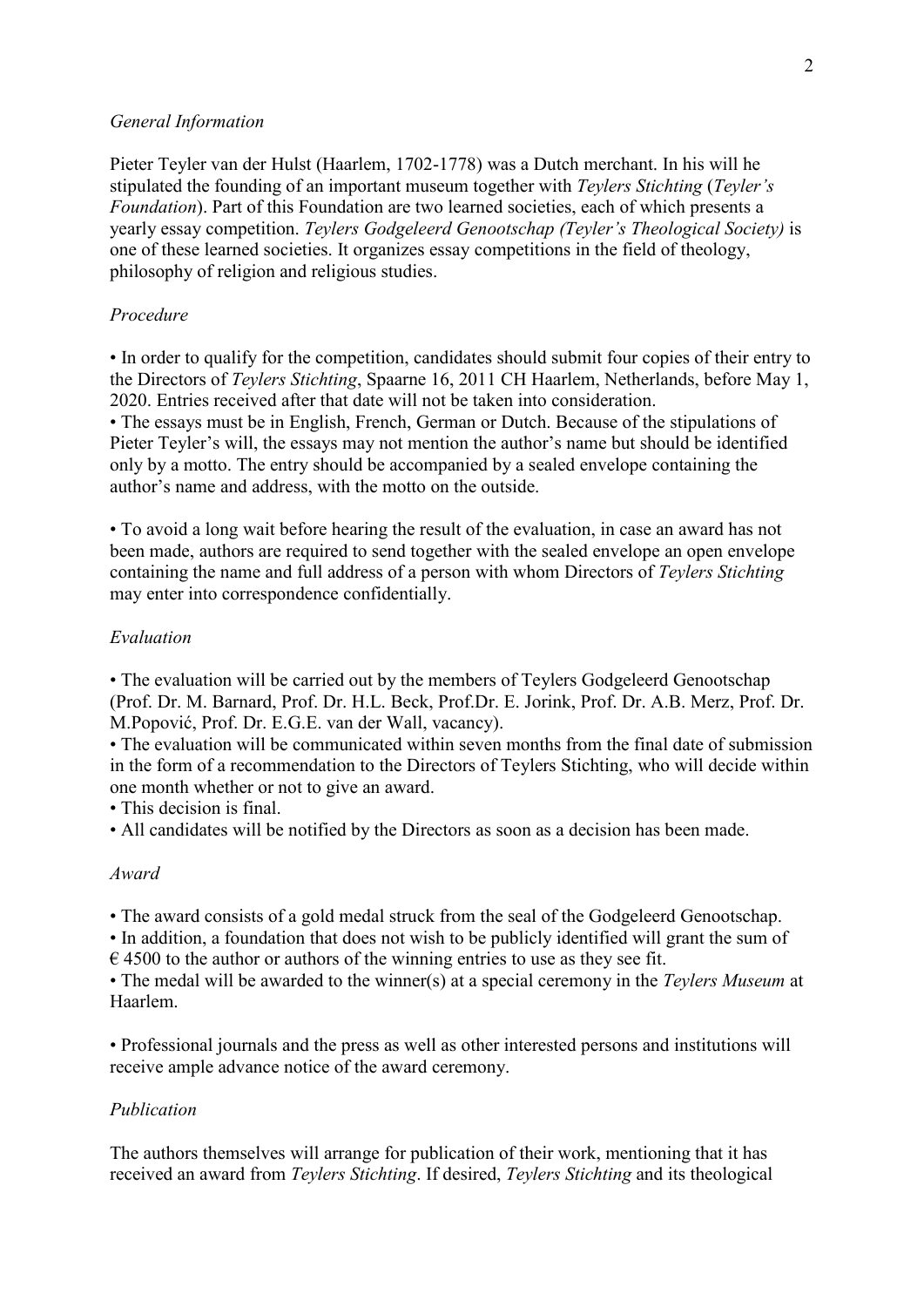## *General Information*

Pieter Teyler van der Hulst (Haarlem, 1702-1778) was a Dutch merchant. In his will he stipulated the founding of an important museum together with *Teylers Stichting* (*Teyler's Foundation*). Part of this Foundation are two learned societies, each of which presents a yearly essay competition. *Teylers Godgeleerd Genootschap (Teyler's Theological Society)* is one of these learned societies. It organizes essay competitions in the field of theology, philosophy of religion and religious studies.

# *Procedure*

• In order to qualify for the competition, candidates should submit four copies of their entry to the Directors of *Teylers Stichting*, Spaarne 16, 2011 CH Haarlem, Netherlands, before May 1, 2020. Entries received after that date will not be taken into consideration.

• The essays must be in English, French, German or Dutch. Because of the stipulations of Pieter Teyler's will, the essays may not mention the author's name but should be identified only by a motto. The entry should be accompanied by a sealed envelope containing the author's name and address, with the motto on the outside.

• To avoid a long wait before hearing the result of the evaluation, in case an award has not been made, authors are required to send together with the sealed envelope an open envelope containing the name and full address of a person with whom Directors of *Teylers Stichting*  may enter into correspondence confidentially.

# *Evaluation*

• The evaluation will be carried out by the members of Teylers Godgeleerd Genootschap (Prof. Dr. M. Barnard, Prof. Dr. H.L. Beck, Prof.Dr. E. Jorink, Prof. Dr. A.B. Merz, Prof. Dr. M.Popović, Prof. Dr. E.G.E. van der Wall, vacancy).

• The evaluation will be communicated within seven months from the final date of submission in the form of a recommendation to the Directors of Teylers Stichting, who will decide within one month whether or not to give an award.

• This decision is final.

• All candidates will be notified by the Directors as soon as a decision has been made.

## *Award*

• The award consists of a gold medal struck from the seal of the Godgeleerd Genootschap.

• In addition, a foundation that does not wish to be publicly identified will grant the sum of  $\epsilon$  4500 to the author or authors of the winning entries to use as they see fit.

• The medal will be awarded to the winner(s) at a special ceremony in the *Teylers Museum* at Haarlem.

• Professional journals and the press as well as other interested persons and institutions will receive ample advance notice of the award ceremony.

### *Publication*

The authors themselves will arrange for publication of their work, mentioning that it has received an award from *Teylers Stichting*. If desired, *Teylers Stichting* and its theological